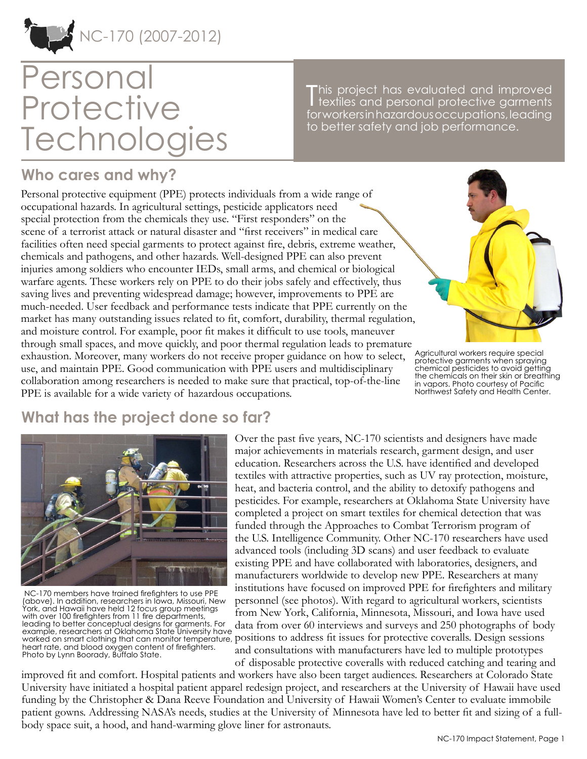

# Personal **Protective Technologies**

This project has evaluated and improved<br>textiles and personal protective garments textiles and personal protective garments for workers in hazardous occupations, leading to better safety and job performance.

### **Who cares and why?**

Personal protective equipment (PPE) protects individuals from a wide range of occupational hazards. In agricultural settings, pesticide applicators need special protection from the chemicals they use. "First responders" on the scene of a terrorist attack or natural disaster and "first receivers" in medical care facilities often need special garments to protect against fire, debris, extreme weather, chemicals and pathogens, and other hazards. Well-designed PPE can also prevent injuries among soldiers who encounter IEDs, small arms, and chemical or biological warfare agents. These workers rely on PPE to do their jobs safely and effectively, thus saving lives and preventing widespread damage; however, improvements to PPE are much-needed. User feedback and performance tests indicate that PPE currently on the market has many outstanding issues related to fit, comfort, durability, thermal regulation, and moisture control. For example, poor fit makes it difficult to use tools, maneuver through small spaces, and move quickly, and poor thermal regulation leads to premature exhaustion. Moreover, many workers do not receive proper guidance on how to select, use, and maintain PPE. Good communication with PPE users and multidisciplinary collaboration among researchers is needed to make sure that practical, top-of-the-line PPE is available for a wide variety of hazardous occupations.



Agricultural workers require special protective garments when spraying chemical pesticides to avoid getting the chemicals on their skin or breathing in vapors. Photo courtesy of Pacific Northwest Safety and Health Center.

## **What has the project done so far?**



 NC-170 members have trained firefighters to use PPE (above). In addition, researchers in Iowa, Missouri, New York, and Hawaii have held 12 focus group meetings with over 100 firefighters from 11 fire departments, leading to better conceptual designs for garments. For example, researchers at Oklahoma State University have heart rate, and blood oxygen content of firefighters. Photo by Lynn Boorady, Buffalo State.

Over the past five years, NC-170 scientists and designers have made major achievements in materials research, garment design, and user education. Researchers across the U.S. have identified and developed textiles with attractive properties, such as UV ray protection, moisture, heat, and bacteria control, and the ability to detoxify pathogens and pesticides. For example, researchers at Oklahoma State University have completed a project on smart textiles for chemical detection that was funded through the Approaches to Combat Terrorism program of the U.S. Intelligence Community. Other NC-170 researchers have used advanced tools (including 3D scans) and user feedback to evaluate existing PPE and have collaborated with laboratories, designers, and manufacturers worldwide to develop new PPE. Researchers at many institutions have focused on improved PPE for firefighters and military personnel (see photos). With regard to agricultural workers, scientists from New York, California, Minnesota, Missouri, and Iowa have used data from over 60 interviews and surveys and 250 photographs of body example, researchers at Oxianoma state oniversity have  $\vdots$  is the state of discuss for protective coveralls. Design sessions worked on smart clothing that can monitor temperature, positions to address fit issues for prot and consultations with manufacturers have led to multiple prototypes of disposable protective coveralls with reduced catching and tearing and

improved fit and comfort. Hospital patients and workers have also been target audiences. Researchers at Colorado State University have initiated a hospital patient apparel redesign project, and researchers at the University of Hawaii have used funding by the Christopher & Dana Reeve Foundation and University of Hawaii Women's Center to evaluate immobile patient gowns. Addressing NASA's needs, studies at the University of Minnesota have led to better fit and sizing of a fullbody space suit, a hood, and hand-warming glove liner for astronauts.